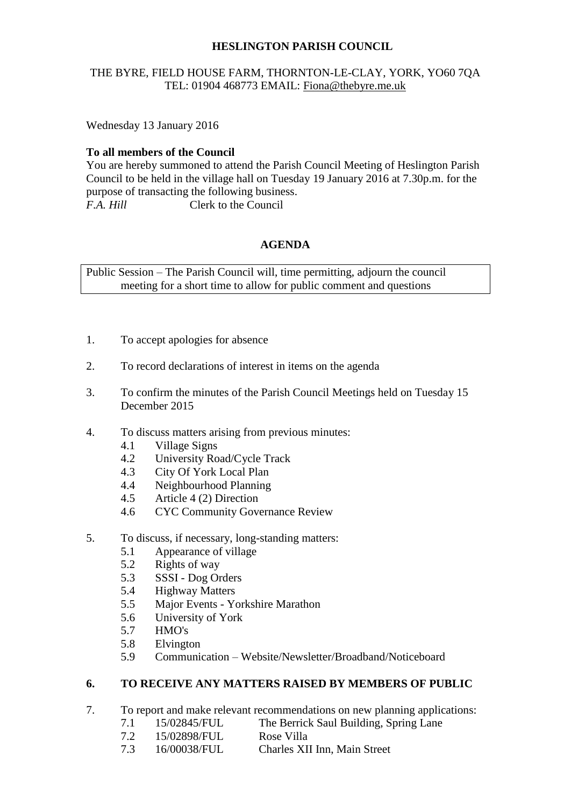# **HESLINGTON PARISH COUNCIL**

# THE BYRE, FIELD HOUSE FARM, THORNTON-LE-CLAY, YORK, YO60 7QA TEL: 01904 468773 EMAIL: [Fiona@thebyre.me.uk](mailto:Fiona@thebyre.me.uk)

Wednesday 13 January 2016

# **To all members of the Council**

You are hereby summoned to attend the Parish Council Meeting of Heslington Parish Council to be held in the village hall on Tuesday 19 January 2016 at 7.30p.m. for the purpose of transacting the following business. *F.A. Hill* Clerk to the Council

# **AGENDA**

Public Session – The Parish Council will, time permitting, adjourn the council meeting for a short time to allow for public comment and questions

- 1. To accept apologies for absence
- 2. To record declarations of interest in items on the agenda
- 3. To confirm the minutes of the Parish Council Meetings held on Tuesday 15 December 2015
- 4. To discuss matters arising from previous minutes:
	- 4.1 Village Signs
	- 4.2 University Road/Cycle Track
	- 4.3 City Of York Local Plan
	- 4.4 Neighbourhood Planning
	- 4.5 Article 4 (2) Direction
	- 4.6 CYC Community Governance Review
- 5. To discuss, if necessary, long-standing matters:
	- 5.1 Appearance of village
	- 5.2 Rights of way
	- 5.3 SSSI Dog Orders
	- 5.4 Highway Matters
	- 5.5 Major Events Yorkshire Marathon
	- 5.6 University of York
	- 5.7 HMO's
	- 5.8 Elvington
	- 5.9 Communication Website/Newsletter/Broadband/Noticeboard

# **6. TO RECEIVE ANY MATTERS RAISED BY MEMBERS OF PUBLIC**

- 7. To report and make relevant recommendations on new planning applications:
	- 7.1 15/02845/FUL The Berrick Saul Building, Spring Lane
	- 7.2 15/02898/FUL Rose Villa
	- 7.3 16/00038/FUL Charles XII Inn, Main Street